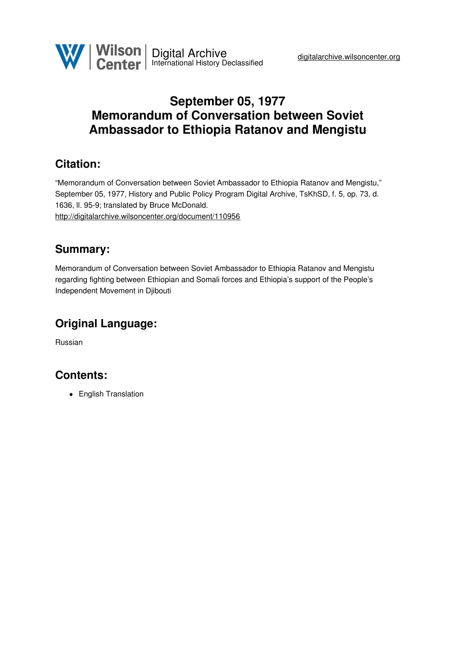## **September 05, 1977 Memorandum of Conversation between Soviet Ambassador to Ethiopia Ratanov and Mengistu**

#### **Citation:**

"Memorandum of Conversation between Soviet Ambassador to Ethiopia Ratanov and Mengistu," September 05, 1977, History and Public Policy Program Digital Archive, TsKhSD, f. 5, op. 73, d. 1636, ll. 95-9; translated by Bruce McDonald. <http://digitalarchive.wilsoncenter.org/document/110956>

#### **Summary:**

Memorandum of Conversation between Soviet Ambassador to Ethiopia Ratanov and Mengistu regarding fighting between Ethiopian and Somali forces and Ethiopia's support of the People's Independent Movement in Djibouti

# **Original Language:**

Russian

### **Contents:**

• English Translation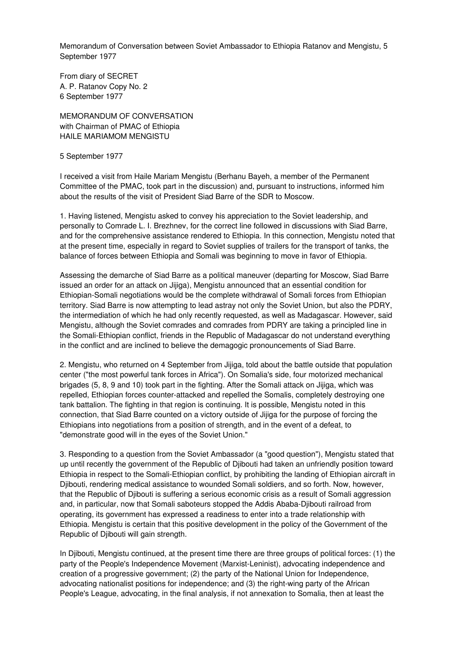Memorandum of Conversation between Soviet Ambassador to Ethiopia Ratanov and Mengistu, 5 September 1977

From diary of SECRET A. P. Ratanov Copy No. 2 6 September 1977

MEMORANDUM OF CONVERSATION with Chairman of PMAC of Ethiopia HAILE MARIAMOM MENGISTU

5 September 1977

I received a visit from Haile Mariam Mengistu (Berhanu Bayeh, a member of the Permanent Committee of the PMAC, took part in the discussion) and, pursuant to instructions, informed him about the results of the visit of President Siad Barre of the SDR to Moscow.

1. Having listened, Mengistu asked to convey his appreciation to the Soviet leadership, and personally to Comrade L. I. Brezhnev, for the correct line followed in discussions with Siad Barre, and for the comprehensive assistance rendered to Ethiopia. In this connection, Mengistu noted that at the present time, especially in regard to Soviet supplies of trailers for the transport of tanks, the balance of forces between Ethiopia and Somali was beginning to move in favor of Ethiopia.

Assessing the demarche of Siad Barre as a political maneuver (departing for Moscow, Siad Barre issued an order for an attack on Jijiga), Mengistu announced that an essential condition for Ethiopian-Somali negotiations would be the complete withdrawal of Somali forces from Ethiopian territory. Siad Barre is now attempting to lead astray not only the Soviet Union, but also the PDRY, the intermediation of which he had only recently requested, as well as Madagascar. However, said Mengistu, although the Soviet comrades and comrades from PDRY are taking a principled line in the Somali-Ethiopian conflict, friends in the Republic of Madagascar do not understand everything in the conflict and are inclined to believe the demagogic pronouncements of Siad Barre.

2. Mengistu, who returned on 4 September from Jijiga, told about the battle outside that population center ("the most powerful tank forces in Africa"). On Somalia's side, four motorized mechanical brigades (5, 8, 9 and 10) took part in the fighting. After the Somali attack on Jijiga, which was repelled, Ethiopian forces counter-attacked and repelled the Somalis, completely destroying one tank battalion. The fighting in that region is continuing. It is possible, Mengistu noted in this connection, that Siad Barre counted on a victory outside of Jijiga for the purpose of forcing the Ethiopians into negotiations from a position of strength, and in the event of a defeat, to "demonstrate good will in the eyes of the Soviet Union."

3. Responding to a question from the Soviet Ambassador (a "good question"), Mengistu stated that up until recently the government of the Republic of Djibouti had taken an unfriendly position toward Ethiopia in respect to the Somali-Ethiopian conflict, by prohibiting the landing of Ethiopian aircraft in Djibouti, rendering medical assistance to wounded Somali soldiers, and so forth. Now, however, that the Republic of Djibouti is suffering a serious economic crisis as a result of Somali aggression and, in particular, now that Somali saboteurs stopped the Addis Ababa-Djibouti railroad from operating, its government has expressed a readiness to enter into a trade relationship with Ethiopia. Mengistu is certain that this positive development in the policy of the Government of the Republic of Djibouti will gain strength.

In Djibouti, Mengistu continued, at the present time there are three groups of political forces: (1) the party of the People's Independence Movement (Marxist-Leninist), advocating independence and creation of a progressive government; (2) the party of the National Union for Independence, advocating nationalist positions for independence; and (3) the right-wing party of the African People's League, advocating, in the final analysis, if not annexation to Somalia, then at least the